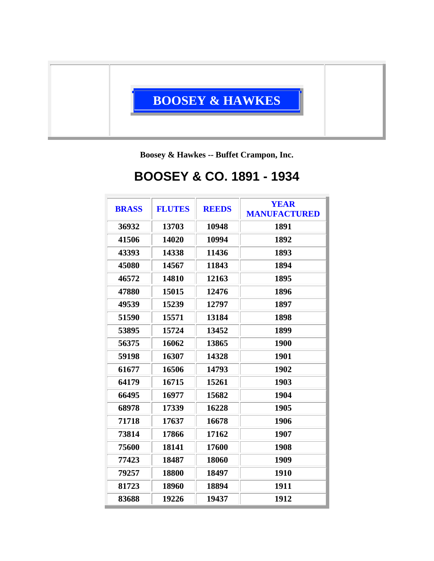

**Boosey & Hawkes -- Buffet Crampon, Inc.**

## **BOOSEY & CO. 1891 - 1934**

| <b>BRASS</b> | <b>FLUTES</b> | <b>REEDS</b> | <b>YEAR</b><br><b>MANUFACTURED</b> |
|--------------|---------------|--------------|------------------------------------|
| 36932        | 13703         | 10948        | 1891                               |
| 41506        | 14020         | 10994        | 1892                               |
| 43393        | 14338         | 11436        | 1893                               |
| 45080        | 14567         | 11843        | 1894                               |
| 46572        | 14810         | 12163        | 1895                               |
| 47880        | 15015         | 12476        | 1896                               |
| 49539        | 15239         | 12797        | 1897                               |
| 51590        | 15571         | 13184        | 1898                               |
| 53895        | 15724         | 13452        | 1899                               |
| 56375        | 16062         | 13865        | 1900                               |
| 59198        | 16307         | 14328        | 1901                               |
| 61677        | 16506         | 14793        | 1902                               |
| 64179        | 16715         | 15261        | 1903                               |
| 66495        | 16977         | 15682        | 1904                               |
| 68978        | 17339         | 16228        | 1905                               |
| 71718        | 17637         | 16678        | 1906                               |
| 73814        | 17866         | 17162        | 1907                               |
| 75600        | 18141         | 17600        | 1908                               |
| 77423        | 18487         | 18060        | 1909                               |
| 79257        | 18800         | 18497        | 1910                               |
| 81723        | 18960         | 18894        | 1911                               |
| 83688        | 19226         | 19437        | 1912                               |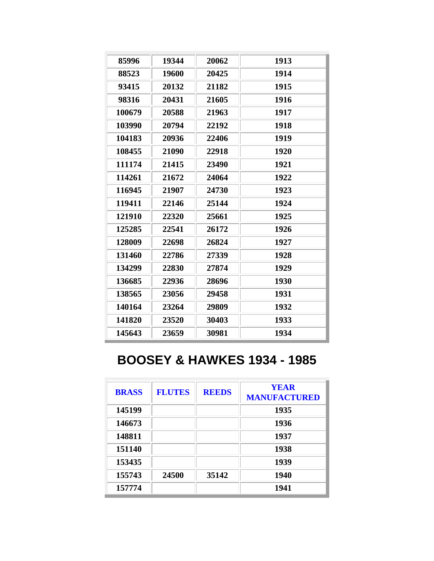| 85996  | 19344 | 20062 | 1913 |
|--------|-------|-------|------|
| 88523  | 19600 | 20425 | 1914 |
| 93415  | 20132 | 21182 | 1915 |
| 98316  | 20431 | 21605 | 1916 |
| 100679 | 20588 | 21963 | 1917 |
| 103990 | 20794 | 22192 | 1918 |
| 104183 | 20936 | 22406 | 1919 |
| 108455 | 21090 | 22918 | 1920 |
| 111174 | 21415 | 23490 | 1921 |
| 114261 | 21672 | 24064 | 1922 |
| 116945 | 21907 | 24730 | 1923 |
| 119411 | 22146 | 25144 | 1924 |
| 121910 | 22320 | 25661 | 1925 |
| 125285 | 22541 | 26172 | 1926 |
| 128009 | 22698 | 26824 | 1927 |
| 131460 | 22786 | 27339 | 1928 |
| 134299 | 22830 | 27874 | 1929 |
| 136685 | 22936 | 28696 | 1930 |
| 138565 | 23056 | 29458 | 1931 |
| 140164 | 23264 | 29809 | 1932 |
| 141820 | 23520 | 30403 | 1933 |
| 145643 | 23659 | 30981 | 1934 |

## **BOOSEY & HAWKES 1934 - 1985**

| <b>BRASS</b> | <b>FLUTES</b> | <b>REEDS</b> | <b>YEAR</b><br><b>MANUFACTURED</b> |
|--------------|---------------|--------------|------------------------------------|
| 145199       |               |              | 1935                               |
| 146673       |               |              | 1936                               |
| 148811       |               |              | 1937                               |
| 151140       |               |              | 1938                               |
| 153435       |               |              | 1939                               |
| 155743       | 24500         | 35142        | 1940                               |
| 157774       |               |              | 1941                               |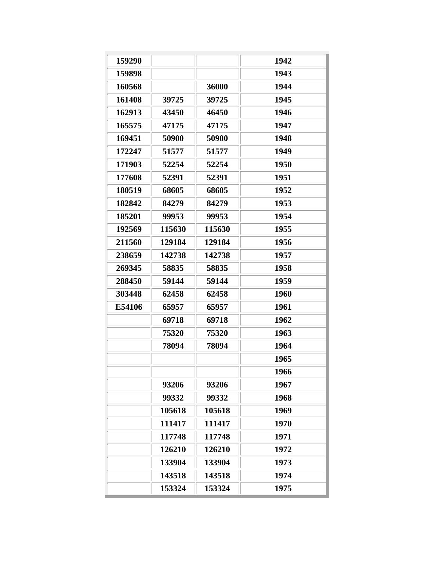| 159290 |        |        | 1942 |
|--------|--------|--------|------|
| 159898 |        |        | 1943 |
| 160568 |        | 36000  | 1944 |
| 161408 | 39725  | 39725  | 1945 |
| 162913 | 43450  | 46450  | 1946 |
| 165575 | 47175  | 47175  | 1947 |
| 169451 | 50900  | 50900  | 1948 |
| 172247 | 51577  | 51577  | 1949 |
| 171903 | 52254  | 52254  | 1950 |
| 177608 | 52391  | 52391  | 1951 |
| 180519 | 68605  | 68605  | 1952 |
| 182842 | 84279  | 84279  | 1953 |
| 185201 | 99953  | 99953  | 1954 |
| 192569 | 115630 | 115630 | 1955 |
| 211560 | 129184 | 129184 | 1956 |
| 238659 | 142738 | 142738 | 1957 |
| 269345 | 58835  | 58835  | 1958 |
| 288450 | 59144  | 59144  | 1959 |
| 303448 | 62458  | 62458  | 1960 |
| E54106 | 65957  | 65957  | 1961 |
|        | 69718  | 69718  | 1962 |
|        | 75320  | 75320  | 1963 |
|        | 78094  | 78094  | 1964 |
|        |        |        | 1965 |
|        |        |        | 1966 |
|        | 93206  | 93206  | 1967 |
|        | 99332  | 99332  | 1968 |
|        | 105618 | 105618 | 1969 |
|        | 111417 | 111417 | 1970 |
|        | 117748 | 117748 | 1971 |
|        | 126210 | 126210 | 1972 |
|        | 133904 | 133904 | 1973 |
|        | 143518 | 143518 | 1974 |
|        | 153324 | 153324 | 1975 |